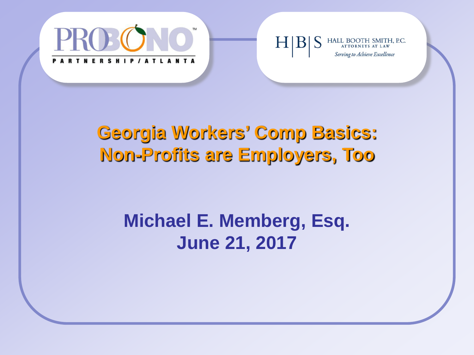

#### HALL BOOTH SMITH, P.C. Serving to Achieve Excellence

#### **Georgia Workers' Comp Basics: Non-Profits are Employers, Too**

#### **Michael E. Memberg, Esq. June 21, 2017**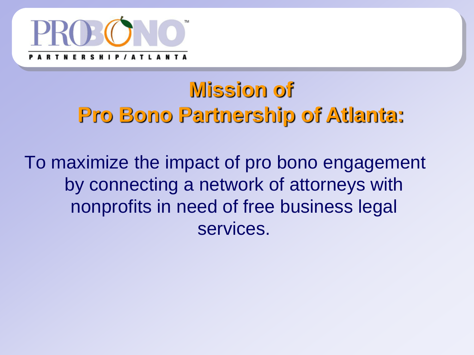

# **Mission of Pro Bono Partnership of Atlanta:**

To maximize the impact of pro bono engagement by connecting a network of attorneys with nonprofits in need of free business legal services.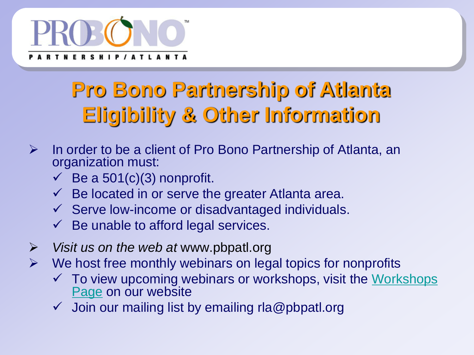

# **Pro Bono Partnership of Atlanta Eligibility & Other Information**

- $\triangleright$  In order to be a client of Pro Bono Partnership of Atlanta, an organization must:
	- $\checkmark$  Be a 501(c)(3) nonprofit.
	- $\checkmark$  Be located in or serve the greater Atlanta area.
	- $\checkmark$  Serve low-income or disadvantaged individuals.
	- $\checkmark$  Be unable to afford legal services.
- *Visit us on the web at* www.pbpatl.org
- $\triangleright$  We host free monthly webinars on legal topics for nonprofits
	- $\checkmark$  To view upcoming webinars or workshops, visit the Workshops [Page](http://www.pbpatl.org/for-nonprofits/workshops-and-webcasts) on our website
	- Join our mailing list by emailing rla@pbpatl.org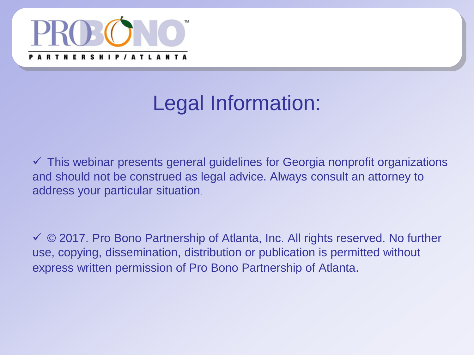

# Legal Information:

 $\checkmark$  This webinar presents general guidelines for Georgia nonprofit organizations and should not be construed as legal advice. Always consult an attorney to address your particular situation.

 © 2017. Pro Bono Partnership of Atlanta, Inc. All rights reserved. No further use, copying, dissemination, distribution or publication is permitted without express written permission of Pro Bono Partnership of Atlanta.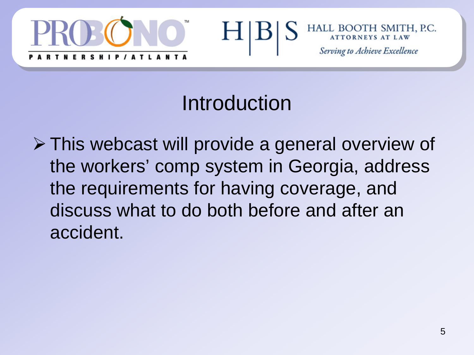



#### Introduction

 This webcast will provide a general overview of the workers' comp system in Georgia, address the requirements for having coverage, and discuss what to do both before and after an accident.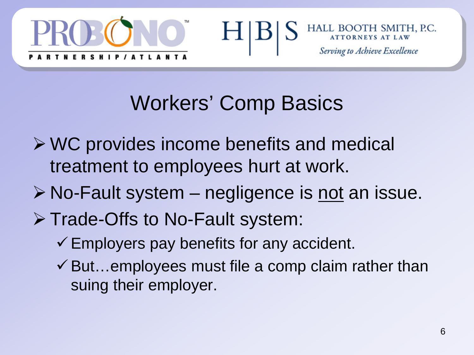



# Workers' Comp Basics

- WC provides income benefits and medical treatment to employees hurt at work.
- $\triangleright$  No-Fault system negligence is not an issue.
- **▶ Trade-Offs to No-Fault system:** 
	- $\checkmark$  Employers pay benefits for any accident.
	- $\checkmark$  But...employees must file a comp claim rather than suing their employer.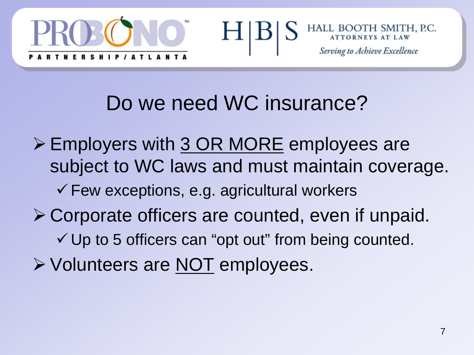



#### Do we need WC insurance?

H

▶ Employers with 3 OR MORE employees are subject to WC laws and must maintain coverage.  $\checkmark$  Few exceptions, e.g. agricultural workers Corporate officers are counted, even if unpaid.  $\checkmark$  Up to 5 officers can "opt out" from being counted.  $\triangleright$  Volunteers are <u>NOT</u> employees.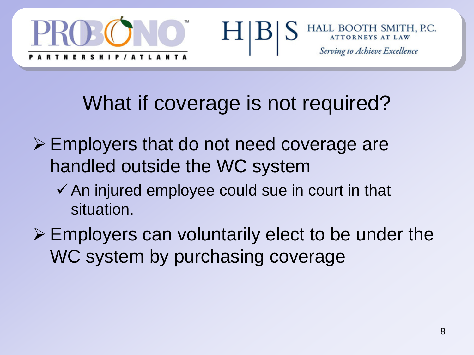



# What if coverage is not required?

H

- Employers that do not need coverage are handled outside the WC system
	- $\checkmark$  An injured employee could sue in court in that situation.
- $\triangleright$  Employers can voluntarily elect to be under the WC system by purchasing coverage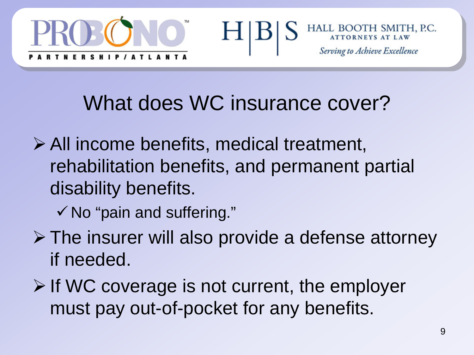



#### What does WC insurance cover?

- All income benefits, medical treatment, rehabilitation benefits, and permanent partial disability benefits.
	- $\checkmark$  No "pain and suffering."
- $\triangleright$  The insurer will also provide a defense attorney if needed.
- $\triangleright$  If WC coverage is not current, the employer must pay out-of-pocket for any benefits.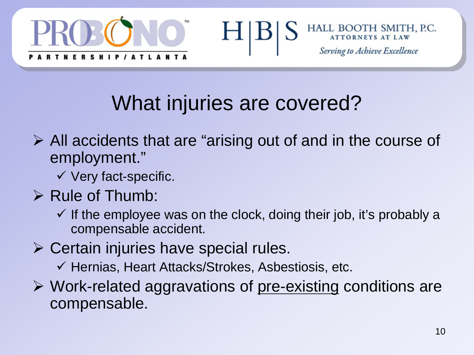



# What injuries are covered?

H

- $\triangleright$  All accidents that are "arising out of and in the course of employment."
	- $\checkmark$  Very fact-specific.
- $\triangleright$  Rule of Thumb:
	- $\checkmark$  If the employee was on the clock, doing their job, it's probably a compensable accident.
- $\triangleright$  Certain injuries have special rules.
	- $\checkmark$  Hernias, Heart Attacks/Strokes, Asbestiosis, etc.
- $\triangleright$  Work-related aggravations of pre-existing conditions are compensable.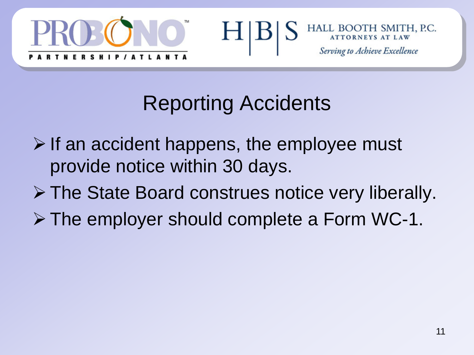



# Reporting Accidents

- $\triangleright$  If an accident happens, the employee must provide notice within 30 days.
- The State Board construes notice very liberally.
- The employer should complete a Form WC-1.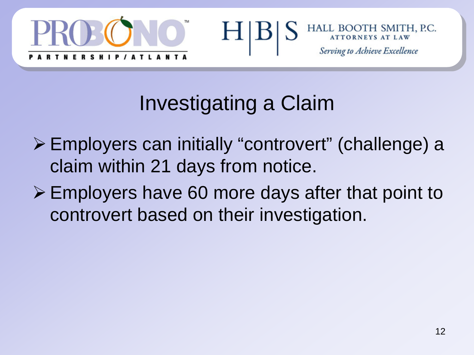



# Investigating a Claim

- Employers can initially "controvert" (challenge) a claim within 21 days from notice.
- Employers have 60 more days after that point to controvert based on their investigation.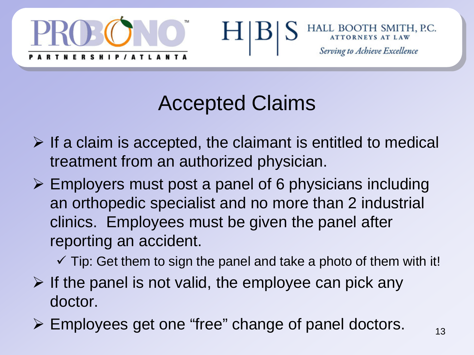



## Accepted Claims

- $\triangleright$  If a claim is accepted, the claimant is entitled to medical treatment from an authorized physician.
- $\triangleright$  Employers must post a panel of 6 physicians including an orthopedic specialist and no more than 2 industrial clinics. Employees must be given the panel after reporting an accident.

 $\checkmark$  Tip: Get them to sign the panel and take a photo of them with it!

- $\triangleright$  If the panel is not valid, the employee can pick any doctor.
- Employees get one "free" change of panel doctors.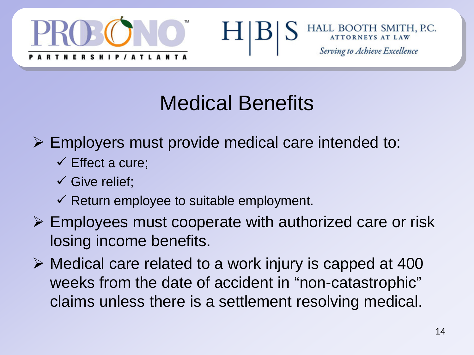



# Medical Benefits

- $\triangleright$  Employers must provide medical care intended to:
	- $\checkmark$  Effect a cure;
	- $\checkmark$  Give relief;
	- $\checkmark$  Return employee to suitable employment.
- $\triangleright$  Employees must cooperate with authorized care or risk losing income benefits.
- $\triangleright$  Medical care related to a work injury is capped at 400 weeks from the date of accident in "non-catastrophic" claims unless there is a settlement resolving medical.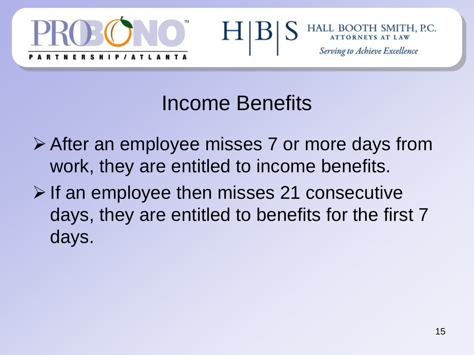



#### Income Benefits

- After an employee misses 7 or more days from work, they are entitled to income benefits.
- $\triangleright$  If an employee then misses 21 consecutive days, they are entitled to benefits for the first 7 days.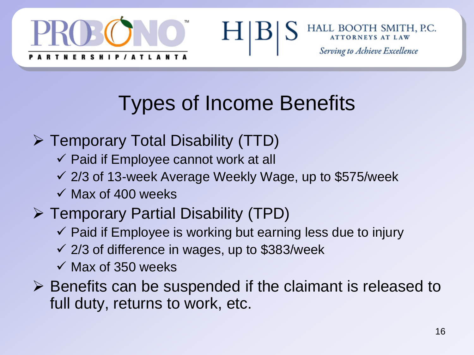



# Types of Income Benefits

H

- Temporary Total Disability (TTD)
	- $\checkmark$  Paid if Employee cannot work at all
	- $\checkmark$  2/3 of 13-week Average Weekly Wage, up to \$575/week
	- $\checkmark$  Max of 400 weeks

#### Temporary Partial Disability (TPD)

- $\checkmark$  Paid if Employee is working but earning less due to injury
- $\checkmark$  2/3 of difference in wages, up to \$383/week
- $\checkmark$  Max of 350 weeks
- $\triangleright$  Benefits can be suspended if the claimant is released to full duty, returns to work, etc.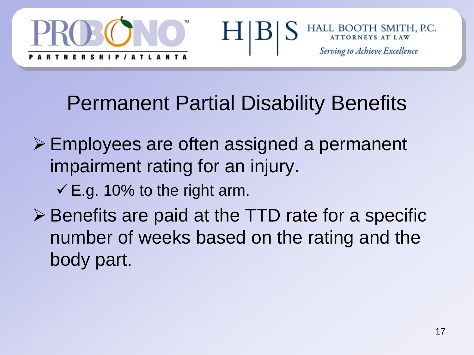



# Permanent Partial Disability Benefits

- Employees are often assigned a permanent impairment rating for an injury.
	- $\checkmark$  E.g. 10% to the right arm.
- $\triangleright$  Benefits are paid at the TTD rate for a specific number of weeks based on the rating and the body part.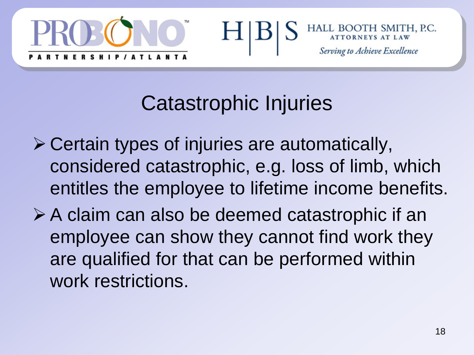



# Catastrophic Injuries

- $\triangleright$  Certain types of injuries are automatically, considered catastrophic, e.g. loss of limb, which entitles the employee to lifetime income benefits.
- $\triangleright$  A claim can also be deemed catastrophic if an employee can show they cannot find work they are qualified for that can be performed within work restrictions.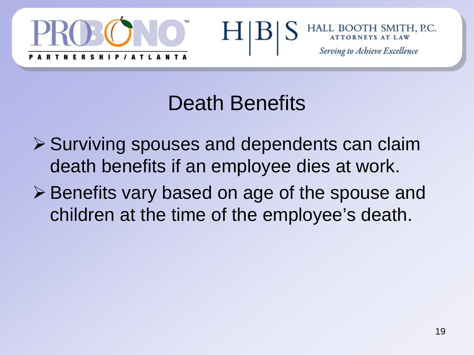



#### Death Benefits

- $\triangleright$  Surviving spouses and dependents can claim death benefits if an employee dies at work.
- **≻ Benefits vary based on age of the spouse and** children at the time of the employee's death.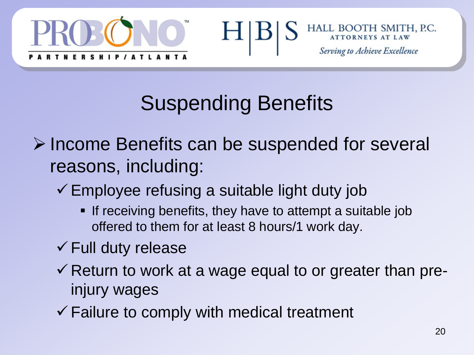



# Suspending Benefits

H

- Income Benefits can be suspended for several reasons, including:
	- $\checkmark$  Employee refusing a suitable light duty job
		- **If receiving benefits, they have to attempt a suitable job** offered to them for at least 8 hours/1 work day.
	- $\checkmark$  Full duty release
	- $\checkmark$  Return to work at a wage equal to or greater than preinjury wages
	- $\checkmark$  Failure to comply with medical treatment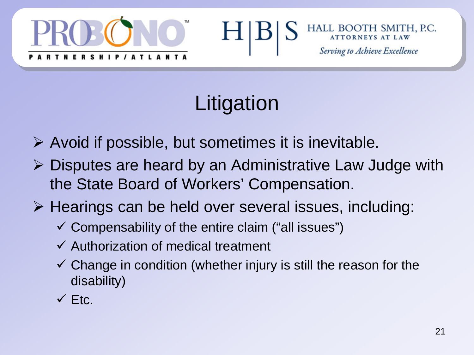



# Litigation

- $\triangleright$  Avoid if possible, but sometimes it is inevitable.
- $\triangleright$  Disputes are heard by an Administrative Law Judge with the State Board of Workers' Compensation.
- $\triangleright$  Hearings can be held over several issues, including:
	- $\checkmark$  Compensability of the entire claim ("all issues")
	- $\checkmark$  Authorization of medical treatment
	- $\checkmark$  Change in condition (whether injury is still the reason for the disability)
	- $\checkmark$  Ftc.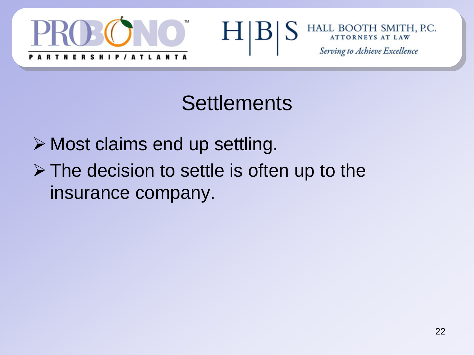



#### **Settlements**

**≻ Most claims end up settling.**  $\triangleright$  The decision to settle is often up to the insurance company.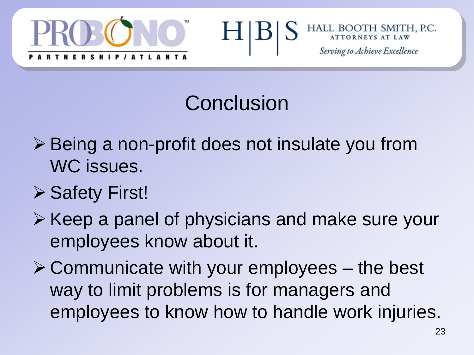



## Conclusion

- **≻ Being a non-profit does not insulate you from** WC issues.
- **≻ Safety First!**
- $\triangleright$  Keep a panel of physicians and make sure your employees know about it.
- $\triangleright$  Communicate with your employees the best way to limit problems is for managers and employees to know how to handle work injuries.